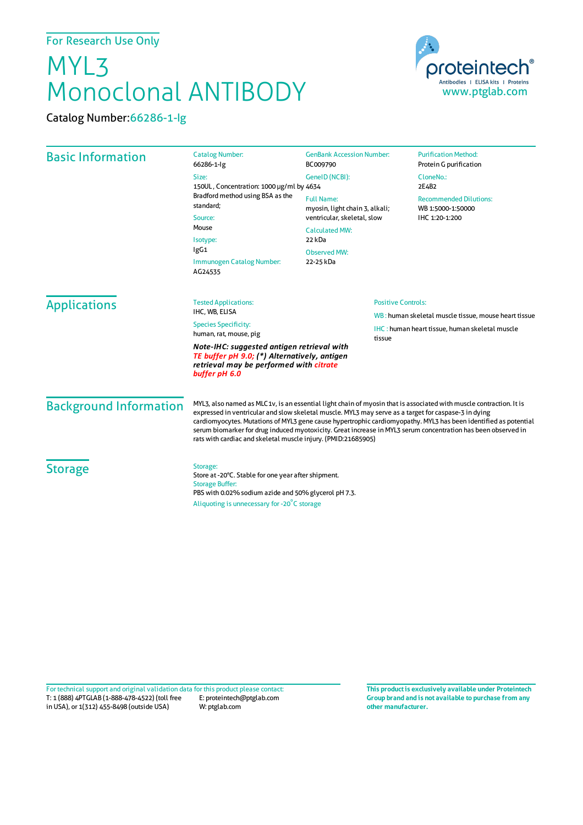## MYL3 Monoclonal ANTIBODY

Catalog Number:66286-1-Ig



| <b>Basic Information</b>                                                                                                                               | <b>Catalog Number:</b><br>66286-1-lg                                                                                                                                                                                                                                                                                                                                                                                                                                                                                            | <b>GenBank Accession Number:</b><br>BC009790                                                                | <b>Purification Method:</b><br>Protein G purification                                                            |                        |
|--------------------------------------------------------------------------------------------------------------------------------------------------------|---------------------------------------------------------------------------------------------------------------------------------------------------------------------------------------------------------------------------------------------------------------------------------------------------------------------------------------------------------------------------------------------------------------------------------------------------------------------------------------------------------------------------------|-------------------------------------------------------------------------------------------------------------|------------------------------------------------------------------------------------------------------------------|------------------------|
|                                                                                                                                                        | Size:<br>150UL, Concentration: 1000 µg/ml by 4634                                                                                                                                                                                                                                                                                                                                                                                                                                                                               | GenelD (NCBI):                                                                                              | CloneNo.:<br>2E4B2                                                                                               |                        |
|                                                                                                                                                        | Bradford method using BSA as the<br>standard:<br>Source:<br>Mouse<br>Isotype:<br>lgG1<br>Immunogen Catalog Number:<br>AG24535                                                                                                                                                                                                                                                                                                                                                                                                   | <b>Full Name:</b><br>myosin, light chain 3, alkali;<br>ventricular, skeletal, slow<br><b>Calculated MW:</b> | <b>Recommended Dilutions:</b><br>WB 1:5000-1:50000<br>IHC 1:20-1:200                                             |                        |
|                                                                                                                                                        |                                                                                                                                                                                                                                                                                                                                                                                                                                                                                                                                 |                                                                                                             |                                                                                                                  | 22 kDa<br>Observed MW: |
|                                                                                                                                                        |                                                                                                                                                                                                                                                                                                                                                                                                                                                                                                                                 | 22-25 kDa                                                                                                   |                                                                                                                  |                        |
|                                                                                                                                                        |                                                                                                                                                                                                                                                                                                                                                                                                                                                                                                                                 | <b>Applications</b>                                                                                         | <b>Tested Applications:</b><br>IHC. WB. ELISA                                                                    |                        |
| <b>Species Specificity:</b><br>human, rat, mouse, pig                                                                                                  |                                                                                                                                                                                                                                                                                                                                                                                                                                                                                                                                 |                                                                                                             | WB: human skeletal muscle tissue, mouse heart tissue<br>IHC: human heart tissue, human skeletal muscle<br>tissue |                        |
| Note-IHC: suggested antigen retrieval with<br>TE buffer pH 9.0; (*) Alternatively, antigen<br>retrieval may be performed with citrate<br>buffer pH 6.0 |                                                                                                                                                                                                                                                                                                                                                                                                                                                                                                                                 |                                                                                                             |                                                                                                                  |                        |
| <b>Background Information</b>                                                                                                                          | MYL3, also named as MLC1v, is an essential light chain of myosin that is associated with muscle contraction. It is<br>expressed in ventricular and slow skeletal muscle. MYL3 may serve as a target for caspase-3 in dying<br>cardiomyocytes. Mutations of MYL3 gene cause hypertrophic cardiomyopathy. MYL3 has been identified as potential<br>serum biomarker for drug induced myotoxicity. Great increase in MYL3 serum concentration has been observed in<br>rats with cardiac and skeletal muscle injury. (PMID:21685905) |                                                                                                             |                                                                                                                  |                        |
| <b>Storage</b>                                                                                                                                         | Storage:<br>Store at -20°C. Stable for one year after shipment.<br><b>Storage Buffer:</b><br>PBS with 0.02% sodium azide and 50% glycerol pH 7.3.<br>Aliquoting is unnecessary for -20°C storage                                                                                                                                                                                                                                                                                                                                |                                                                                                             |                                                                                                                  |                        |

T: 1 (888) 4PTGLAB (1-888-478-4522) (toll free E: proteintech@ptglab.com in USA), or 1(312) 455-8498 (outside USA) W: ptglab.com Fortechnical support and original validation data forthis product please contact: **This productis exclusively available under Proteintech**

**Group brand and is not available to purchase from any other manufacturer.**